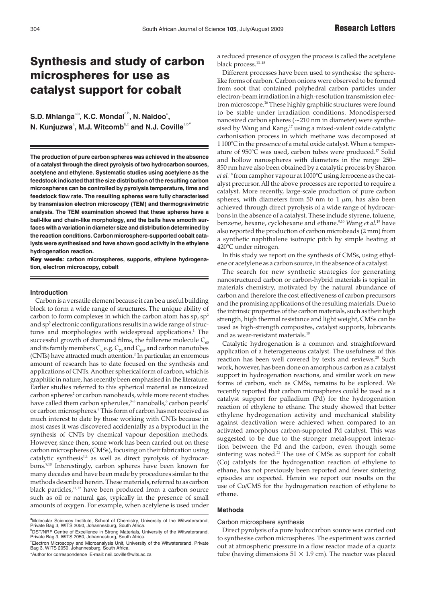# Synthesis and study of carbon microspheres for use as catalyst support for cobalt

 $\mathbf{S}.\mathbf{D}.$  Mhlanga $^{\textrm{a,b}}$ , K.C. Mondal $^{\textrm{a,b}}$ , N. Naidoo $^{\textrm{a,b}}$  $N$ . Kunjuzwa $\degree$ , M.J. Witcomb $\degree$ c and N.J. Coville $\degree$ 

**The production of pure carbon spheres was achieved in the absence of a catalyst through the direct pyrolysis of two hydrocarbon sources, acetylene and ethylene. Systematic studies using acetylene as the feedstock indicated that the size distribution of the resulting carbon microspheres can be controlled by pyrolysis temperature, time and feedstock flow rate. The resulting spheres were fully characterised by transmission electron microscopy (TEM) and thermogravimetric analysis. The TEM examination showed that these spheres have a ball-like and chain-like morphology, and the balls have smooth surfaces with a variation in diameter size and distribution determined by the reaction conditions. Carbon microsphere-supported cobalt catalysts were synthesised and have shown good activity in the ethylene hydrogenation reaction.**

Key words: carbon microspheres, supports, ethylene hydrogena**tion, electron microscopy, cobalt**

## **Introduction**

Carbon is a versatile element because it can be a useful building block to form a wide range of structures. The unique ability of carbon to form complexes in which the carbon atom has  $sp$ ,  $sp^2$ and sp<sup>3</sup> electronic configurations results in a wide range of structures and morphologies with widespread applications.<sup>1</sup> The successful growth of diamond films, the fullerene molecule  $C_{60}$ and its family members  $C_n$  e.g.  $C_{70}$  and  $C_{80}$ , and carbon nanotubes (CNTs) have attracted much attention.2 In particular, an enormous amount of research has to date focused on the synthesis and applications of CNTs. Another spherical form of carbon, which is graphitic in nature, has recently been emphasised in the literature. Earlier studies referred to this spherical material as nanosized carbon spheres<sup>2</sup> or carbon nanobeads, while more recent studies have called them carbon spherules,<sup>3-5</sup> nanoballs,<sup>6</sup> carbon pearls<sup>7</sup> or carbon microspheres.8 This form of carbon has not received as much interest to date by those working with CNTs because in most cases it was discovered accidentally as a byproduct in the synthesis of CNTs by chemical vapour deposition methods. However, since then, some work has been carried out on these carbon microspheres (CMSs), focusing on their fabrication using catalytic synthesis<sup>1,2</sup> as well as direct pyrolysis of hydrocarbons.9,10 Interestingly, carbon spheres have been known for many decades and have been made by procedures similar to the methods described herein. These materials, referred to as carbon black particles,<sup>11,12</sup> have been produced from a carbon source such as oil or natural gas, typically in the presence of small amounts of oxygen. For example, when acetylene is used under

\*Author for correspondence E-mail: neil.coville@wits.ac.za

a reduced presence of oxygen the process is called the acetylene black process.13–15

Different processes have been used to synthesise the spherelike forms of carbon. Carbon onions were observed to be formed from soot that contained polyhedral carbon particles under electron-beam irradiation in a high-resolution transmission electron microscope.<sup>16</sup> These highly graphitic structures were found to be stable under irradiation conditions. Monodispersed nanosized carbon spheres  $(-210 \text{ nm in diameter})$  were synthesised by Wang and  $Kang$ ,<sup>17</sup> using a mixed-valent oxide catalytic carbonisation process in which methane was decomposed at 1 100°C in the presence of a metal oxide catalyst. When a temperature of 950°C was used, carbon tubes were produced.<sup>17</sup> Solid and hollow nanospheres with diameters in the range 250– 850 nm have also been obtained by a catalytic process by Sharon *et al.*<sup>18</sup> from camphor vapour at 1000°C using ferrocene as the catalyst precursor. All the above processes are reported to require a catalyst. More recently, large-scale production of pure carbon spheres, with diameters from 50 nm to 1  $\mu$ m, has also been achieved through direct pyrolysis of a wide range of hydrocarbons in the absence of a catalyst. These include styrene, toluene, benzene, hexane, cyclohexane and ethane.9,10 Wang *et al.*<sup>19</sup> have also reported the production of carbon microbeads (2 mm) from a synthetic naphthalene isotropic pitch by simple heating at 420°C under nitrogen.

In this study we report on the synthesis of CMSs, using ethylene or acetylene as a carbon source, in the absence of a catalyst.

The search for new synthetic strategies for generating nanostructured carbon or carbon-hybrid materials is topical in materials chemistry, motivated by the natural abundance of carbon and therefore the cost effectiveness of carbon precursors and the promising applications of the resulting materials. Due to the intrinsic properties of the carbon materials, such as their high strength, high thermal resistance and light weight, CMSs can be used as high-strength composites, catalyst supports, lubricants and as wear-resistant materials.10

Catalytic hydrogenation is a common and straightforward application of a heterogeneous catalyst. The usefulness of this reaction has been well covered by texts and reviews.<sup>20</sup> Such work, however, has been done on amorphous carbon as a catalyst support in hydrogenation reactions, and similar work on new forms of carbon, such as CMSs, remains to be explored. We recently reported that carbon microspheres could be used as a catalyst support for palladium (Pd) for the hydrogenation reaction of ethylene to ethane. The study showed that better ethylene hydrogenation activity and mechanical stability against deactivation were achieved when compared to an activated amorphous carbon-supported Pd catalyst. This was suggested to be due to the stronger metal-support interaction between the Pd and the carbon, even though some sintering was noted.<sup>21</sup> The use of CMSs as support for cobalt (Co) catalysts for the hydrogenation reaction of ethylene to ethane, has not previously been reported and fewer sintering episodes are expected. Herein we report our results on the use of Co/CMS for the hydrogenation reaction of ethylene to ethane.

#### **Methods**

#### Carbon microsphere synthesis

Direct pyrolysis of a pure hydrocarbon source was carried out to synthesise carbon microspheres. The experiment was carried out at atmospheric pressure in a flow reactor made of a quartz tube (having dimensions  $51 \times 1.9$  cm). The reactor was placed

a<br>Private Bag 3, WITS 2050, Johannesburg, South Africa.<br>Private Bag 3, WITS 2050, Johannesburg, South Africa.

b DST/NRF Centre of Excellence in Strong Materials, University of the Witwatersrand, Private Bag 3, WITS 2050, Johannesburg, South Africa.

c Electron Microscopy and Microanalysis Unit, University of the Witwatersrand, Private Bag 3, WITS 2050, Johannesburg, South Africa.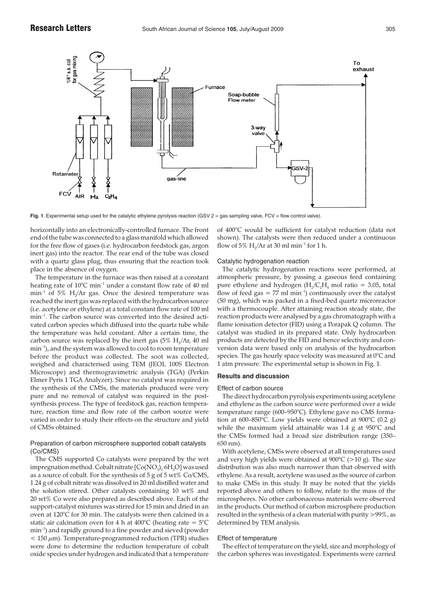

**Fig. 1**. Experimental setup used for the catalytic ethylene pyrolysis reaction (GSV 2 = gas sampling valve, FCV = flow control valve).

horizontally into an electronically-controlled furnace. The front end of the tube was connected to a glass manifold which allowed for the free flow of gases (i.e. hydrocarbon feedstock gas, argon inert gas) into the reactor. The rear end of the tube was closed with a quartz glass plug, thus ensuring that the reaction took place in the absence of oxygen.

The temperature in the furnace was then raised at a constant heating rate of 10°C min<sup>-1</sup> under a constant flow rate of 40 ml  $min^{-1}$  of 5% H<sub>2</sub>/Ar gas. Once the desired temperature was reached the inert gas was replaced with the hydrocarbon source (i.e. acetylene or ethylene) at a total constant flow rate of 100 ml min–1. The carbon source was converted into the desired activated carbon species which diffused into the quartz tube while the temperature was held constant. After a certain time, the carbon source was replaced by the inert gas  $(5\% \text{ H}_2/\text{Ar}, 40 \text{ ml})$ min–1), and the system was allowed to cool to room temperature before the product was collected. The soot was collected, weighed and characterised using TEM (JEOL 100S Electron Microscope) and thermogravimetric analysis (TGA) (Perkin Elmer Pyris 1 TGA Analyzer). Since no catalyst was required in the synthesis of the CMSs, the materials produced were very pure and no removal of catalyst was required in the postsynthesis process. The type of feedstock gas, reaction temperature, reaction time and flow rate of the carbon source were varied in order to study their effects on the structure and yield of CMSs obtained.

# Preparation of carbon microsphere supported cobalt catalysts (Co/CMS)

The CMS supported Co catalysts were prepared by the wet impregnation method. Cobalt nitrate  $\text{[Co}(\text{NO}_3)_2\text{:}6\text{H}_2\text{O}]$  was used as a source of cobalt. For the synthesis of 5 g of 5 wt% Co/CMS, 1.24 g of cobalt nitrate was dissolved in 20 ml distilled water and the solution stirred. Other catalysts containing 10 wt% and 20 wt% Co were also prepared as described above. Each of the support-catalyst mixtures was stirred for 15 min and dried in an oven at 120°C for 30 min. The catalysts were then calcined in a static air calcination oven for 4 h at 400 $^{\circ}$ C (heating rate = 5 $^{\circ}$ C min–1) and rapidly ground to a fine powder and sieved (powder  $<$  150  $\mu$ m). Temperature-programmed reduction (TPR) studies were done to determine the reduction temperature of cobalt oxide species under hydrogen and indicated that a temperature of 400°C would be sufficient for catalyst reduction (data not shown). The catalysts were then reduced under a continuous flow of 5% H<sub>2</sub>/Ar at 30 ml min<sup>-1</sup> for 1 h.

# Catalytic hydrogenation reaction

The catalytic hydrogenation reactions were performed, at atmospheric pressure, by passing a gaseous feed containing pure ethylene and hydrogen  $(H_2/C_2H_4$  mol ratio = 3.05, total flow of feed gas =  $77$  ml min<sup>-1</sup>) continuously over the catalyst (50 mg), which was packed in a fixed-bed quartz microreactor with a thermocouple. After attaining reaction steady state, the reaction products were analysed by a gas chromatograph with a flame ionisation detector (FID) using a Porapak Q column. The catalyst was studied in its prepared state. Only hydrocarbon products are detected by the FID and hence selectivity and conversion data were based only on analysis of the hydrocarbon species. The gas hourly space velocity was measured at 0°C and 1 atm pressure. The experimental setup is shown in Fig. 1.

## **Results and discussion**

## Effect of carbon source

The direct hydrocarbon pyrolysis experiments using acetylene and ethylene as the carbon source were performed over a wide temperature range (600–950°C). Ethylene gave no CMS formation at 600–850°C. Low yields were obtained at 900°C (0.2 g) while the maximum yield attainable was 1.4 g at 950°C and the CMSs formed had a broad size distribution range (350– 650 nm).

With acetylene, CMSs were observed at all temperatures used and very high yields were obtained at  $900^{\circ}C$  ( $>10$  g). The size distribution was also much narrower than that observed with ethylene. As a result, acetylene was used as the source of carbon to make CMSs in this study. It may be noted that the yields reported above and others to follow, relate to the mass of the microspheres. No other carbonaceous materials were observed in the products. Our method of carbon microsphere production resulted in the synthesis of a clean material with purity >99%, as determined by TEM analysis.

#### Effect of temperature

The effect of temperature on the yield, size and morphology of the carbon spheres was investigated. Experiments were carried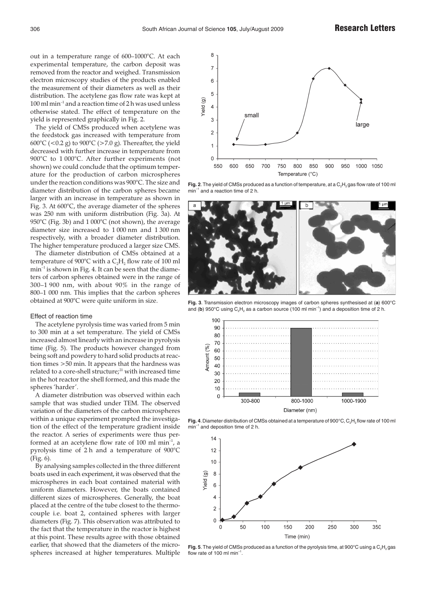out in a temperature range of 600–1000°C. At each experimental temperature, the carbon deposit was removed from the reactor and weighed. Transmission electron microscopy studies of the products enabled the measurement of their diameters as well as their distribution. The acetylene gas flow rate was kept at  $100$  ml min<sup>-1</sup> and a reaction time of 2 h was used unless otherwise stated. The effect of temperature on the yield is represented graphically in Fig. 2.

The yield of CMSs produced when acetylene was the feedstock gas increased with temperature from 600°C (<0.2 g) to 900°C (>7.0 g). Thereafter, the yield decreased with further increase in temperature from 900°C to 1 000°C. After further experiments (not shown) we could conclude that the optimum temperature for the production of carbon microspheres under the reaction conditions was 900°C. The size and diameter distribution of the carbon spheres became larger with an increase in temperature as shown in Fig. 3. At 600°C, the average diameter of the spheres was 250 nm with uniform distribution (Fig. 3a). At 950°C (Fig. 3b) and 1 000°C (not shown), the average diameter size increased to 1 000 nm and 1 300 nm respectively, with a broader diameter distribution. The higher temperature produced a larger size CMS.

The diameter distribution of CMSs obtained at a temperature of 900 $^{\circ}$ C with a C<sub>2</sub>H<sub>2</sub> flow rate of 100 ml  $min^{-1}$  is shown in Fig. 4. It can be seen that the diameters of carbon spheres obtained were in the range of 300–1 900 nm, with about 90% in the range of 800–1 000 nm. This implies that the carbon spheres obtained at 900°C were quite uniform in size.

### Effect of reaction time

The acetylene pyrolysis time was varied from 5 min to 300 min at a set temperature. The yield of CMSs increased almost linearly with an increase in pyrolysis time (Fig. 5). The products however changed from being soft and powdery to hard solid products at reaction times >50 min. It appears that the hardness was related to a core-shell structure;<sup>21</sup> with increased time in the hot reactor the shell formed, and this made the spheres 'harder'.

A diameter distribution was observed within each sample that was studied under TEM. The observed variation of the diameters of the carbon microspheres within a unique experiment prompted the investigation of the effect of the temperature gradient inside the reactor. A series of experiments were thus performed at an acetylene flow rate of 100 ml min–1, a pyrolysis time of 2 h and a temperature of 900°C (Fig. 6).

By analysing samples collected in the three different boats used in each experiment, it was observed that the microspheres in each boat contained material with uniform diameters. However, the boats contained different sizes of microspheres. Generally, the boat placed at the centre of the tube closest to the thermocouple i.e. boat 2, contained spheres with larger diameters (Fig. 7). This observation was attributed to the fact that the temperature in the reactor is highest at this point. These results agree with those obtained earlier, that showed that the diameters of the microspheres increased at higher temperatures. Multiple



Fig. 2. The yield of CMSs produced as a function of temperature, at a C<sub>2</sub>H<sub>2</sub> gas flow rate of 100 ml min–1 and a reaction time of 2 h.



**Fig. 3**. Transmission electron microscopy images of carbon spheres synthesised at (**a**) 600°C and (b)  $950^{\circ}$ C using  $C_2H_2$  as a carbon source (100 ml min<sup>-1</sup>) and a deposition time of 2 h.



Fig. 4. Diameter distribution of CMSs obtained at a temperature of 900°C, C<sub>2</sub>H<sub>2</sub> flow rate of 100 ml  $min^{-1}$  and deposition time of 2 h.



**Fig. 5**. The yield of CMSs produced as a function of the pyrolysis time, at 900°C using a C<sub>2</sub>H<sub>2</sub> gas flow rate of 100 ml  $min^{-1}$ .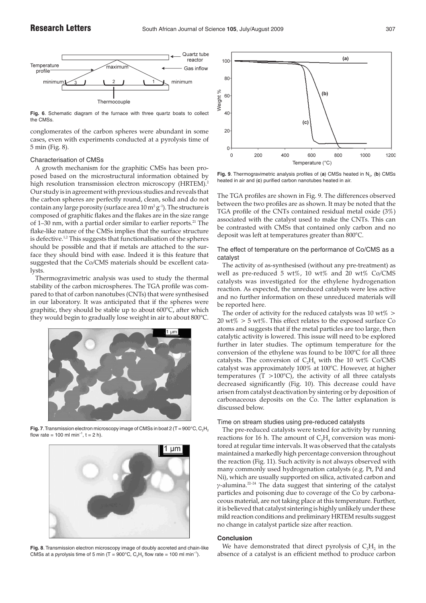

**Fig. 6**. Schematic diagram of the furnace with three quartz boats to collect the CMSs.

conglomerates of the carbon spheres were abundant in some cases, even with experiments conducted at a pyrolysis time of 5 min (Fig. 8).

## Characterisation of CMSs

A growth mechanism for the graphitic CMSs has been proposed based on the microstructural information obtained by high resolution transmission electron microscopy (HRTEM).<sup>2</sup> Our study is in agreement with previous studies and reveals that the carbon spheres are perfectly round, clean, solid and do not contain any large porosity (surface area  $10 \text{ m}^2 \text{ g}^{-1}$ ). The structure is composed of graphitic flakes and the flakes are in the size range of 1–30 nm, with a partial order similar to earlier reports. $^{21}$  The flake-like nature of the CMSs implies that the surface structure is defective.<sup>1,2</sup> This suggests that functionalisation of the spheres should be possible and that if metals are attached to the surface they should bind with ease. Indeed it is this feature that suggested that the Co/CMS materials should be excellent catalysts.

Thermogravimetric analysis was used to study the thermal stability of the carbon microspheres. The TGA profile was compared to that of carbon nanotubes (CNTs) that were synthesised in our laboratory. It was anticipated that if the spheres were graphitic, they should be stable up to about 600°C, after which they would begin to gradually lose weight in air to about 800°C.



**Fig. 7**. Transmission electron microscopy image of CMSs in boat 2 (T = 900°C, C<sub>2</sub>H<sub>2</sub> flow rate = 100 ml min<sup>-1</sup>, t = 2 h).



**Fig. 8**. Transmission electron microscopy image of doubly accreted and chain-like CMSs at a pyrolysis time of 5 min (T = 900°C, C<sub>2</sub>H<sub>2</sub> flow rate = 100 ml min<sup>-1</sup>).



Fig. 9. Thermogravimetric analysis profiles of (a) CMSs heated in N<sub>2</sub>, (b) CMSs heated in air and (**c**) purified carbon nanotubes heated in air.

The TGA profiles are shown in Fig. 9. The differences observed between the two profiles are as shown. It may be noted that the TGA profile of the CNTs contained residual metal oxide (3%) associated with the catalyst used to make the CNTs. This can be contrasted with CMSs that contained only carbon and no deposit was left at temperatures greater than 800°C.

The effect of temperature on the performance of Co/CMS as a catalyst

The activity of as-synthesised (without any pre-treatment) as well as pre-reduced 5 wt%, 10 wt% and 20 wt% Co/CMS catalysts was investigated for the ethylene hydrogenation reaction. As expected, the unreduced catalysts were less active and no further information on these unreduced materials will be reported here.

The order of activity for the reduced catalysts was 10  $wt\%$  >  $20 \text{ wt\%} > 5 \text{ wt\%}$ . This effect relates to the exposed surface Co atoms and suggests that if the metal particles are too large, then catalytic activity is lowered. This issue will need to be explored further in later studies. The optimum temperature for the conversion of the ethylene was found to be 100°C for all three catalysts. The conversion of  $C_2H_4$  with the 10 wt% Co/CMS catalyst was approximately 100% at 100°C. However, at higher temperatures  $(T > 100^{\circ}C)$ , the activity of all three catalysts decreased significantly (Fig. 10). This decrease could have arisen from catalyst deactivation by sintering or by deposition of carbonaceous deposits on the Co. The latter explanation is discussed below.

# Time on stream studies using pre-reduced catalysts

The pre-reduced catalysts were tested for activity by running reactions for 16 h. The amount of  $C_2H_4$  conversion was monitored at regular time intervals. It was observed that the catalysts maintained a markedly high percentage conversion throughout the reaction (Fig. 11). Such activity is not always observed with many commonly used hydrogenation catalysts (e.g. Pt, Pd and Ni), which are usually supported on silica, activated carbon and γ-alumina.22–24 The data suggest that sintering of the catalyst particles and poisoning due to coverage of the Co by carbonaceous material, are not taking place at this temperature. Further, it is believed that catalyst sintering is highly unlikely under these mild reaction conditions and preliminary HRTEM results suggest no change in catalyst particle size after reaction.

#### **Conclusion**

We have demonstrated that direct pyrolysis of  $C_2H_2$ , in the absence of a catalyst is an efficient method to produce carbon